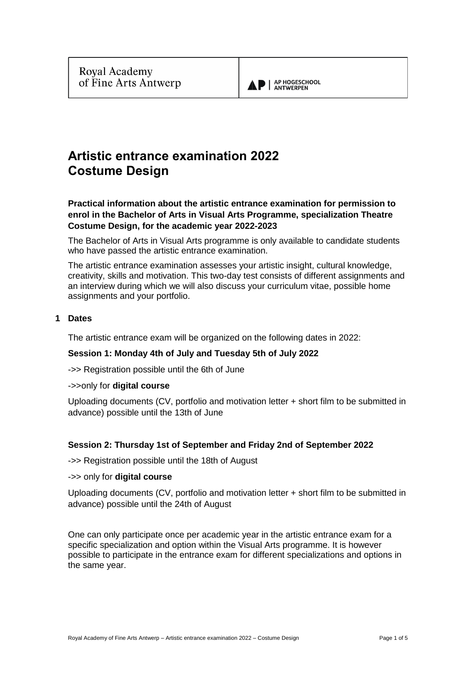

# **Artistic entrance examination 2022 Costume Design**

**Practical information about the artistic entrance examination for permission to enrol in the Bachelor of Arts in Visual Arts Programme, specialization Theatre Costume Design, for the academic year 2022-2023**

The Bachelor of Arts in Visual Arts programme is only available to candidate students who have passed the artistic entrance examination.

The artistic entrance examination assesses your artistic insight, cultural knowledge, creativity, skills and motivation. This two-day test consists of different assignments and an interview during which we will also discuss your curriculum vitae, possible home assignments and your portfolio.

# **1 Dates**

The artistic entrance exam will be organized on the following dates in 2022:

# **Session 1: Monday 4th of July and Tuesday 5th of July 2022**

->> Registration possible until the 6th of June

## ->>only for **digital course**

Uploading documents (CV, portfolio and motivation letter + short film to be submitted in advance) possible until the 13th of June

# **Session 2: Thursday 1st of September and Friday 2nd of September 2022**

->> Registration possible until the 18th of August

## ->> only for **digital course**

Uploading documents (CV, portfolio and motivation letter + short film to be submitted in advance) possible until the 24th of August

One can only participate once per academic year in the artistic entrance exam for a specific specialization and option within the Visual Arts programme. It is however possible to participate in the entrance exam for different specializations and options in the same year.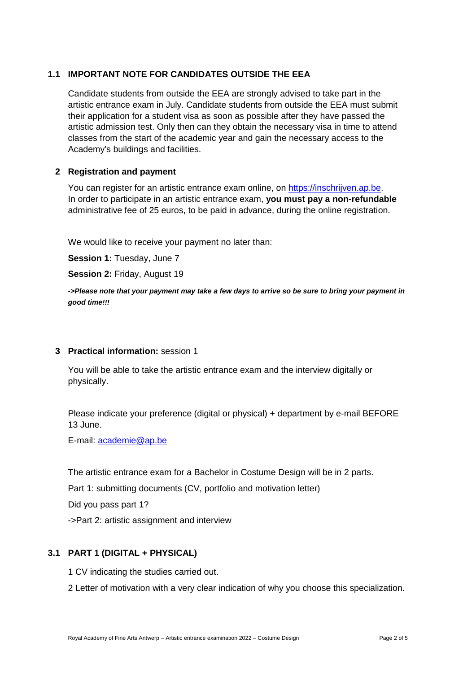# **1.1 IMPORTANT NOTE FOR CANDIDATES OUTSIDE THE EEA**

Candidate students from outside the EEA are strongly advised to take part in the artistic entrance exam in July. Candidate students from outside the EEA must submit their application for a student visa as soon as possible after they have passed the artistic admission test. Only then can they obtain the necessary visa in time to attend classes from the start of the academic year and gain the necessary access to the Academy's buildings and facilities.

# **2 Registration and payment**

You can register for an artistic entrance exam online, on [https://inschrijven.ap.be.](https://inschrijven.ap.be/?Academiejaar=2020-21&SoortOpleiding=2&Taal=2) In order to participate in an artistic entrance exam, **you must pay a non-refundable** administrative fee of 25 euros, to be paid in advance, during the online registration.

We would like to receive your payment no later than:

**Session 1:** Tuesday, June 7

**Session 2:** Friday, August 19

*->Please note that your payment may take a few days to arrive so be sure to bring your payment in good time!!!*

## **3 Practical information:** session 1

You will be able to take the artistic entrance exam and the interview digitally or physically.

Please indicate your preference (digital or physical) + department by e-mail BEFORE 13 June.

E-mail: [academie@ap.be](mailto:academie@ap.be)

The artistic entrance exam for a Bachelor in Costume Design will be in 2 parts.

Part 1: submitting documents (CV, portfolio and motivation letter)

Did you pass part 1?

->Part 2: artistic assignment and interview

# **3.1 PART 1 (DIGITAL + PHYSICAL)**

1 CV indicating the studies carried out.

2 Letter of motivation with a very clear indication of why you choose this specialization.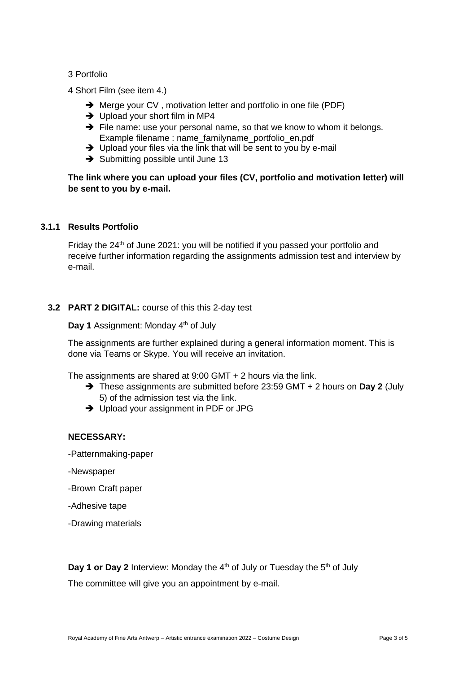## 3 Portfolio

- 4 Short Film (see item 4.)
	- **→** Merge your CV, motivation letter and portfolio in one file (PDF)
	- $\rightarrow$  Upload your short film in MP4
	- ➔ File name: use your personal name, so that we know to whom it belongs. Example filename : name\_familyname\_portfolio\_en.pdf
	- ➔ Upload your files via the link that will be sent to you by e-mail
	- **→** Submitting possible until June 13

# **The link where you can upload your files (CV, portfolio and motivation letter) will be sent to you by e-mail.**

## **3.1.1 Results Portfolio**

Friday the 24<sup>th</sup> of June 2021: you will be notified if you passed your portfolio and receive further information regarding the assignments admission test and interview by e-mail.

## **3.2 PART 2 DIGITAL:** course of this this 2-day test

Day 1 Assignment: Monday 4<sup>th</sup> of July

The assignments are further explained during a general information moment. This is done via Teams or Skype. You will receive an invitation.

The assignments are shared at 9:00 GMT + 2 hours via the link.

- ➔ These assignments are submitted before 23:59 GMT + 2 hours on **Day 2** (July 5) of the admission test via the link.
- ➔ Upload your assignment in PDF or JPG

## **NECESSARY:**

- -Patternmaking-paper
- -Newspaper
- -Brown Craft paper
- -Adhesive tape
- -Drawing materials

**Day 1 or Day 2** Interview: Monday the 4<sup>th</sup> of July or Tuesday the 5<sup>th</sup> of July

The committee will give you an appointment by e-mail.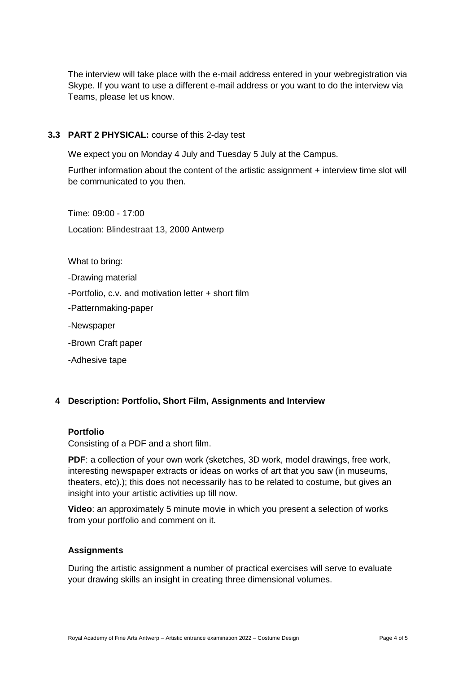The interview will take place with the e-mail address entered in your webregistration via Skype. If you want to use a different e-mail address or you want to do the interview via Teams, please let us know.

# **3.3 PART 2 PHYSICAL:** course of this 2-day test

We expect you on Monday 4 July and Tuesday 5 July at the Campus.

Further information about the content of the artistic assignment + interview time slot will be communicated to you then.

Time: 09:00 - 17:00 Location: Blindestraat 13, 2000 Antwerp

What to bring:

-Drawing material

-Portfolio, c.v. and motivation letter + short film

-Patternmaking-paper

-Newspaper

-Brown Craft paper

-Adhesive tape

# **4 Description: Portfolio, Short Film, Assignments and Interview**

## **Portfolio**

Consisting of a PDF and a short film.

**PDF**: a collection of your own work (sketches, 3D work, model drawings, free work, interesting newspaper extracts or ideas on works of art that you saw (in museums, theaters, etc).); this does not necessarily has to be related to costume, but gives an insight into your artistic activities up till now.

**Video**: an approximately 5 minute movie in which you present a selection of works from your portfolio and comment on it.

## **Assignments**

During the artistic assignment a number of practical exercises will serve to evaluate your drawing skills an insight in creating three dimensional volumes.